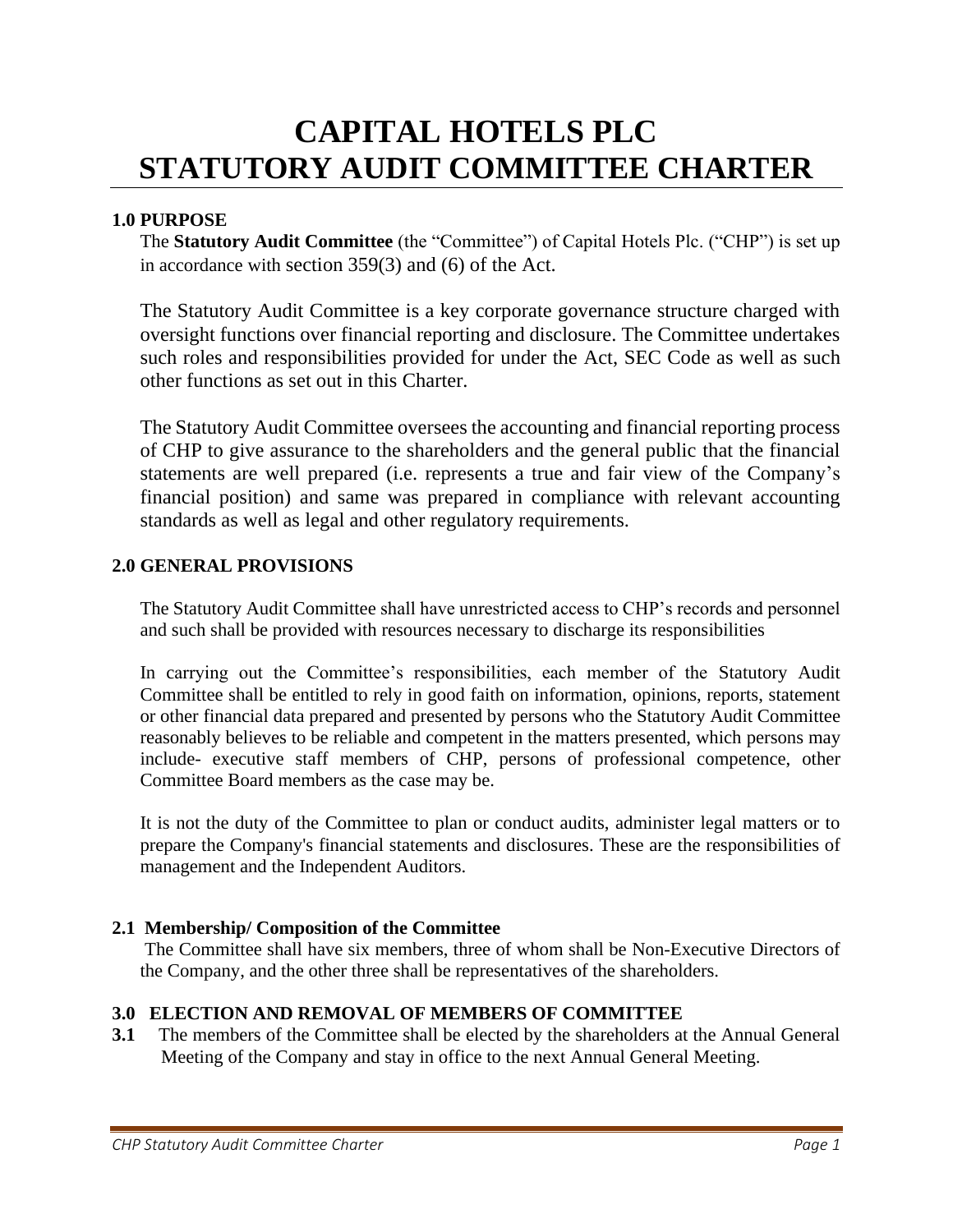# **CAPITAL HOTELS PLC STATUTORY AUDIT COMMITTEE CHARTER**

#### **1.0 PURPOSE**

The **Statutory Audit Committee** (the "Committee") of Capital Hotels Plc. ("CHP") is set up in accordance with section 359(3) and (6) of the Act.

The Statutory Audit Committee is a key corporate governance structure charged with oversight functions over financial reporting and disclosure. The Committee undertakes such roles and responsibilities provided for under the Act, SEC Code as well as such other functions as set out in this Charter.

The Statutory Audit Committee oversees the accounting and financial reporting process of CHP to give assurance to the shareholders and the general public that the financial statements are well prepared (i.e. represents a true and fair view of the Company's financial position) and same was prepared in compliance with relevant accounting standards as well as legal and other regulatory requirements.

#### **2.0 GENERAL PROVISIONS**

The Statutory Audit Committee shall have unrestricted access to CHP's records and personnel and such shall be provided with resources necessary to discharge its responsibilities

In carrying out the Committee's responsibilities, each member of the Statutory Audit Committee shall be entitled to rely in good faith on information, opinions, reports, statement or other financial data prepared and presented by persons who the Statutory Audit Committee reasonably believes to be reliable and competent in the matters presented, which persons may include- executive staff members of CHP, persons of professional competence, other Committee Board members as the case may be.

It is not the duty of the Committee to plan or conduct audits, administer legal matters or to prepare the Company's financial statements and disclosures. These are the responsibilities of management and the Independent Auditors.

## **2.1 Membership/ Composition of the Committee**

The Committee shall have six members, three of whom shall be Non-Executive Directors of the Company, and the other three shall be representatives of the shareholders.

## **3.0 ELECTION AND REMOVAL OF MEMBERS OF COMMITTEE**

**3.1** The members of the Committee shall be elected by the shareholders at the Annual General Meeting of the Company and stay in office to the next Annual General Meeting.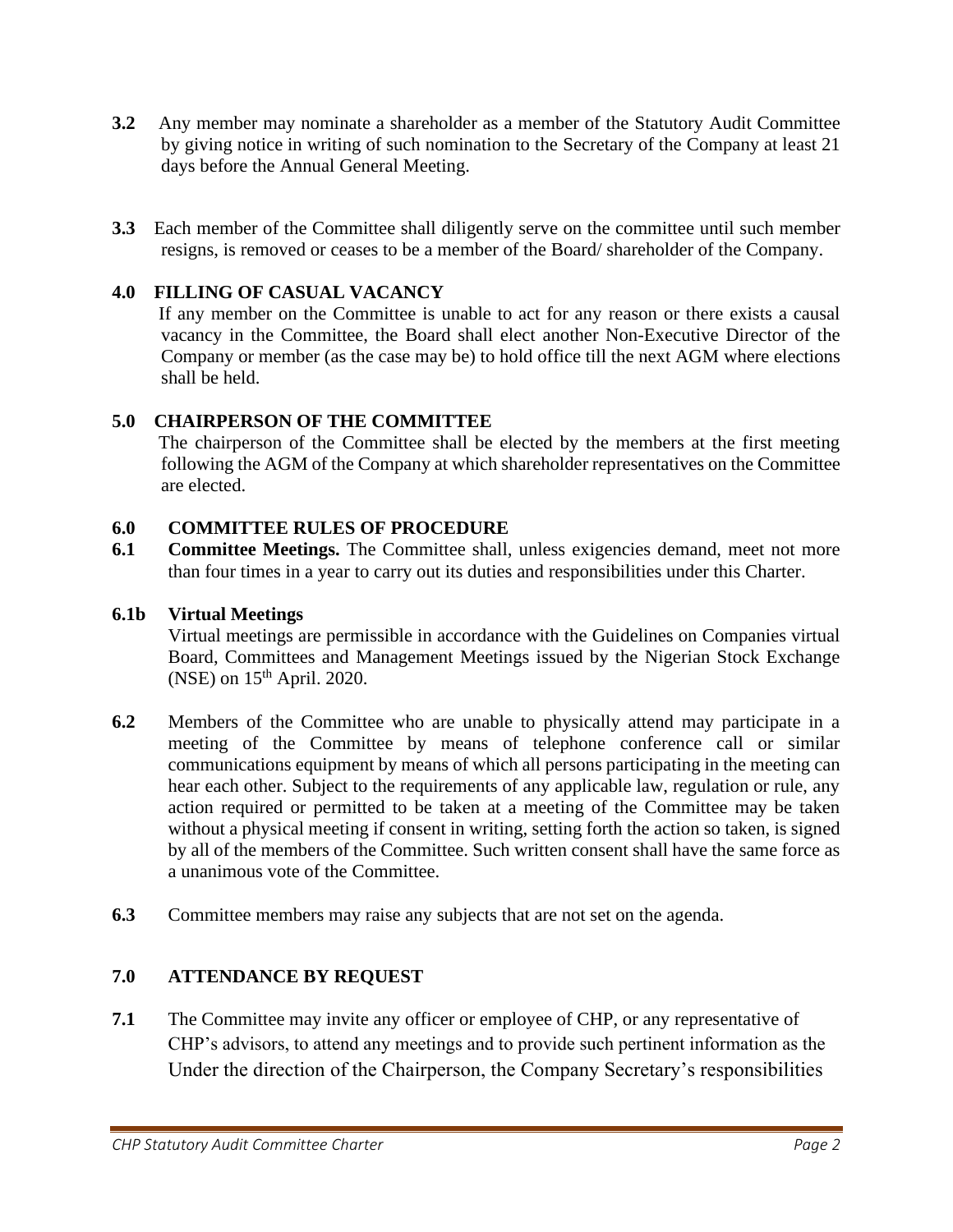- **3.2** Any member may nominate a shareholder as a member of the Statutory Audit Committee by giving notice in writing of such nomination to the Secretary of the Company at least 21 days before the Annual General Meeting.
- **3.3** Each member of the Committee shall diligently serve on the committee until such member resigns, is removed or ceases to be a member of the Board/ shareholder of the Company.

## **4.0 FILLING OF CASUAL VACANCY**

If any member on the Committee is unable to act for any reason or there exists a causal vacancy in the Committee, the Board shall elect another Non-Executive Director of the Company or member (as the case may be) to hold office till the next AGM where elections shall be held.

## **5.0 CHAIRPERSON OF THE COMMITTEE**

The chairperson of the Committee shall be elected by the members at the first meeting following the AGM of the Company at which shareholder representatives on the Committee are elected.

## **6.0 COMMITTEE RULES OF PROCEDURE**

**6.1 Committee Meetings.** The Committee shall, unless exigencies demand, meet not more than four times in a year to carry out its duties and responsibilities under this Charter.

## **6.1b Virtual Meetings**

Virtual meetings are permissible in accordance with the Guidelines on Companies virtual Board, Committees and Management Meetings issued by the Nigerian Stock Exchange  $(NSE)$  on  $15<sup>th</sup>$  April. 2020.

- **6.2** Members of the Committee who are unable to physically attend may participate in a meeting of the Committee by means of telephone conference call or similar communications equipment by means of which all persons participating in the meeting can hear each other. Subject to the requirements of any applicable law, regulation or rule, any action required or permitted to be taken at a meeting of the Committee may be taken without a physical meeting if consent in writing, setting forth the action so taken, is signed by all of the members of the Committee. Such written consent shall have the same force as a unanimous vote of the Committee.
- **6.3** Committee members may raise any subjects that are not set on the agenda.

# **7.0 ATTENDANCE BY REQUEST**

**7.1** The Committee may invite any officer or employee of CHP, or any representative of CHP's advisors, to attend any meetings and to provide such pertinent information as the Under the direction of the Chairperson, the Company Secretary's responsibilities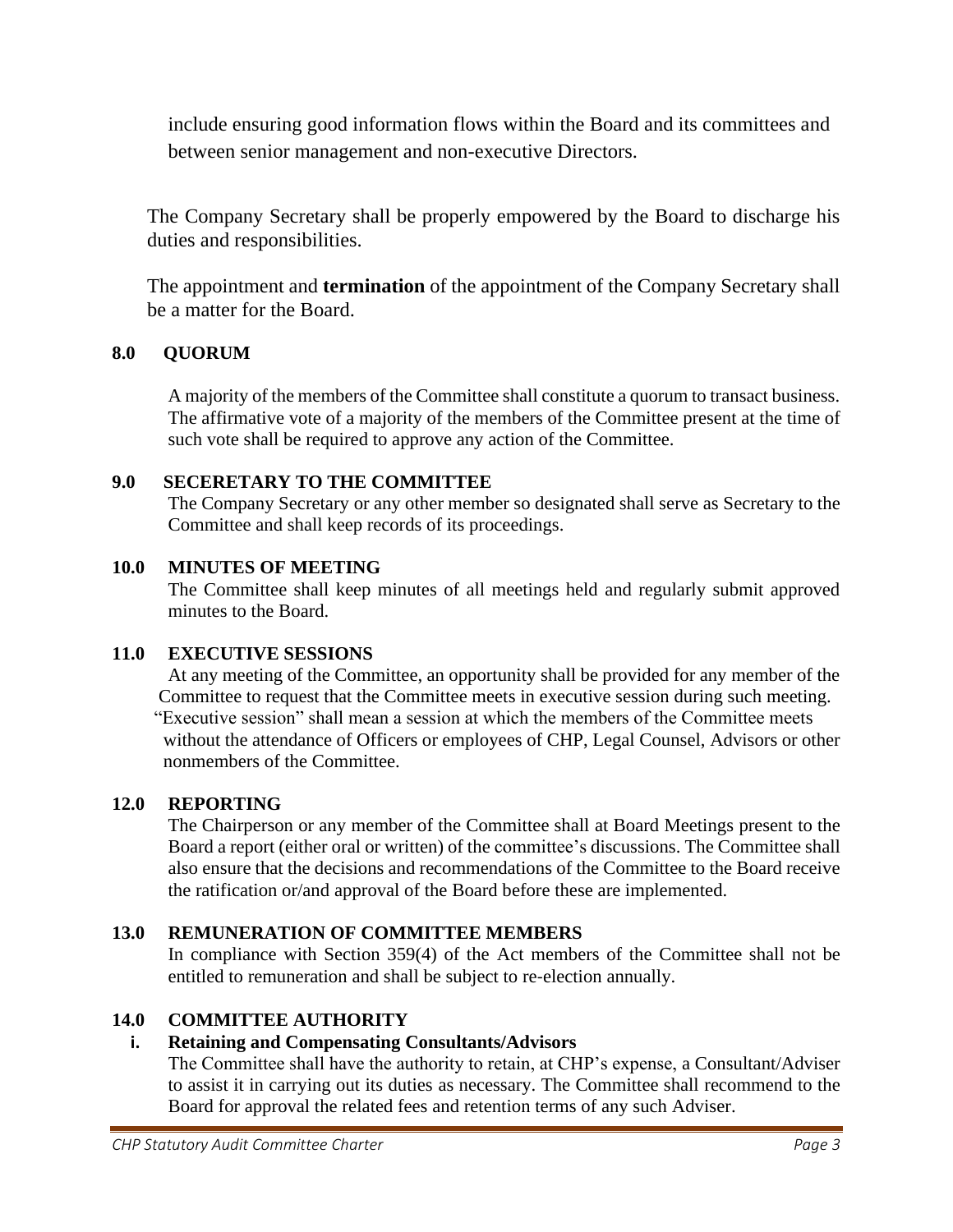include ensuring good information flows within the Board and its committees and between senior management and non-executive Directors.

The Company Secretary shall be properly empowered by the Board to discharge his duties and responsibilities.

The appointment and **termination** of the appointment of the Company Secretary shall be a matter for the Board.

# **8.0 QUORUM**

A majority of the members of the Committee shall constitute a quorum to transact business. The affirmative vote of a majority of the members of the Committee present at the time of such vote shall be required to approve any action of the Committee.

## **9.0 SECERETARY TO THE COMMITTEE**

The Company Secretary or any other member so designated shall serve as Secretary to the Committee and shall keep records of its proceedings.

## **10.0 MINUTES OF MEETING**

The Committee shall keep minutes of all meetings held and regularly submit approved minutes to the Board.

# **11.0 EXECUTIVE SESSIONS**

At any meeting of the Committee, an opportunity shall be provided for any member of the Committee to request that the Committee meets in executive session during such meeting. "Executive session" shall mean a session at which the members of the Committee meets without the attendance of Officers or employees of CHP, Legal Counsel, Advisors or other nonmembers of the Committee.

## **12.0 REPORTING**

The Chairperson or any member of the Committee shall at Board Meetings present to the Board a report (either oral or written) of the committee's discussions. The Committee shall also ensure that the decisions and recommendations of the Committee to the Board receive the ratification or/and approval of the Board before these are implemented.

# **13.0 REMUNERATION OF COMMITTEE MEMBERS**

In compliance with Section 359(4) of the Act members of the Committee shall not be entitled to remuneration and shall be subject to re‐election annually.

# **14.0 COMMITTEE AUTHORITY**

## **i. Retaining and Compensating Consultants/Advisors**

The Committee shall have the authority to retain, at CHP's expense, a Consultant/Adviser to assist it in carrying out its duties as necessary. The Committee shall recommend to the Board for approval the related fees and retention terms of any such Adviser.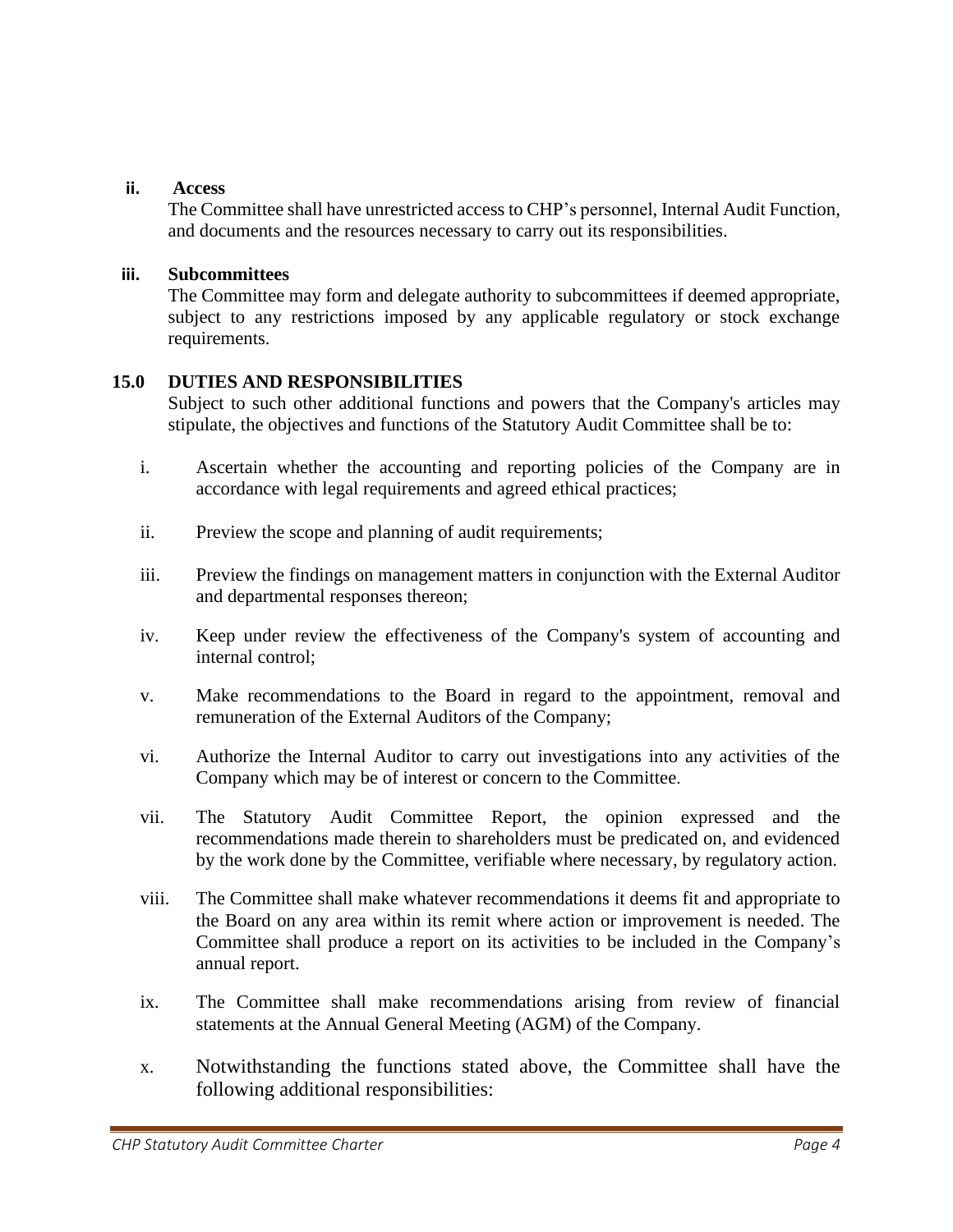#### **ii. Access**

The Committee shall have unrestricted access to CHP's personnel, Internal Audit Function, and documents and the resources necessary to carry out its responsibilities.

#### **iii. Subcommittees**

The Committee may form and delegate authority to subcommittees if deemed appropriate, subject to any restrictions imposed by any applicable regulatory or stock exchange requirements.

## **15.0 DUTIES AND RESPONSIBILITIES**

Subject to such other additional functions and powers that the Company's articles may stipulate, the objectives and functions of the Statutory Audit Committee shall be to:

- i. Ascertain whether the accounting and reporting policies of the Company are in accordance with legal requirements and agreed ethical practices;
- ii. Preview the scope and planning of audit requirements;
- iii. Preview the findings on management matters in conjunction with the External Auditor and departmental responses thereon;
- iv. Keep under review the effectiveness of the Company's system of accounting and internal control;
- v. Make recommendations to the Board in regard to the appointment, removal and remuneration of the External Auditors of the Company;
- vi. Authorize the Internal Auditor to carry out investigations into any activities of the Company which may be of interest or concern to the Committee.
- vii. The Statutory Audit Committee Report, the opinion expressed and the recommendations made therein to shareholders must be predicated on, and evidenced by the work done by the Committee, verifiable where necessary, by regulatory action.
- viii. The Committee shall make whatever recommendations it deems fit and appropriate to the Board on any area within its remit where action or improvement is needed. The Committee shall produce a report on its activities to be included in the Company's annual report.
- ix. The Committee shall make recommendations arising from review of financial statements at the Annual General Meeting (AGM) of the Company.
- x. Notwithstanding the functions stated above, the Committee shall have the following additional responsibilities: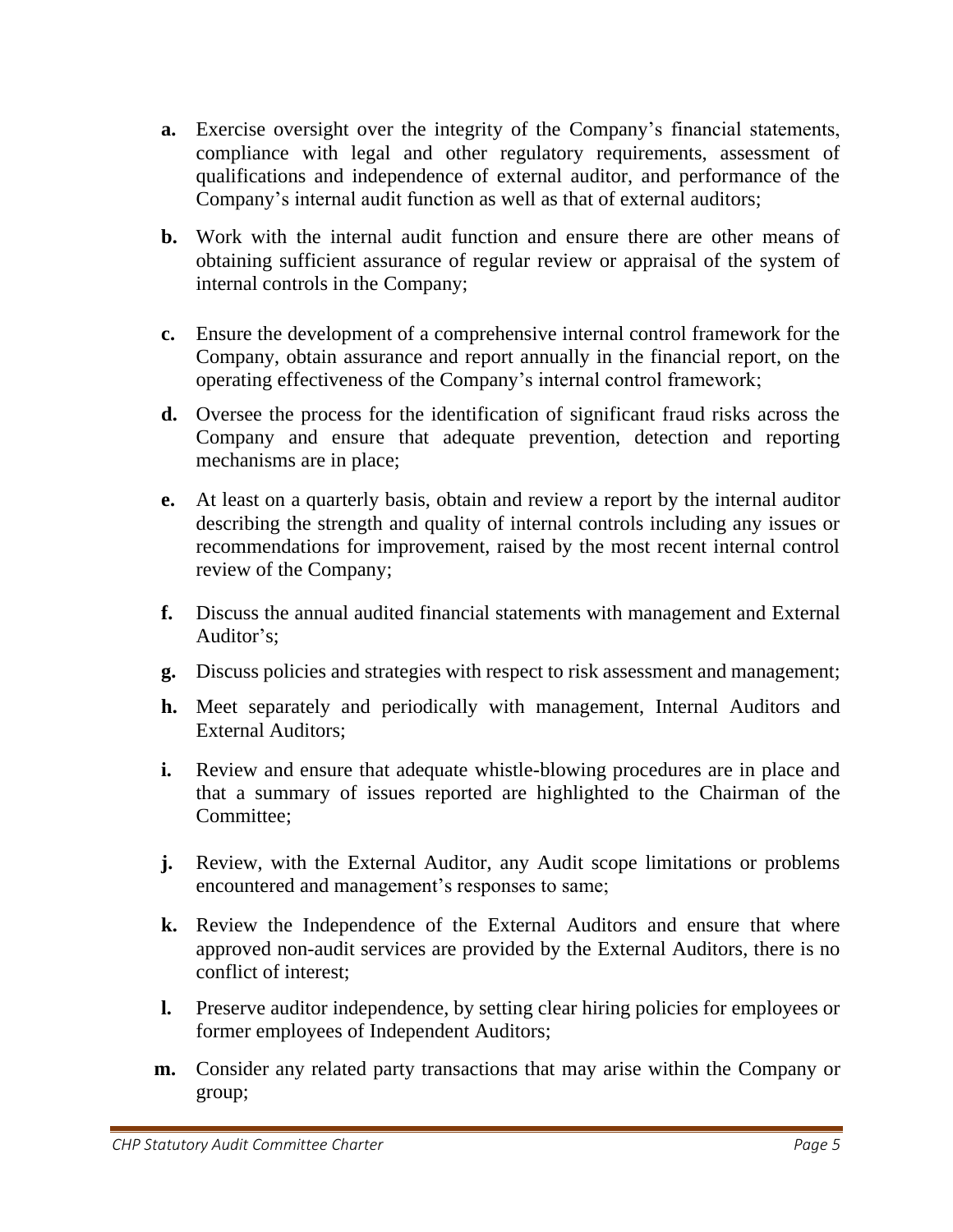- **a.** Exercise oversight over the integrity of the Company's financial statements, compliance with legal and other regulatory requirements, assessment of qualifications and independence of external auditor, and performance of the Company's internal audit function as well as that of external auditors;
- **b.** Work with the internal audit function and ensure there are other means of obtaining sufficient assurance of regular review or appraisal of the system of internal controls in the Company;
- **c.** Ensure the development of a comprehensive internal control framework for the Company, obtain assurance and report annually in the financial report, on the operating effectiveness of the Company's internal control framework;
- **d.** Oversee the process for the identification of significant fraud risks across the Company and ensure that adequate prevention, detection and reporting mechanisms are in place;
- **e.** At least on a quarterly basis, obtain and review a report by the internal auditor describing the strength and quality of internal controls including any issues or recommendations for improvement, raised by the most recent internal control review of the Company;
- **f.** Discuss the annual audited financial statements with management and External Auditor's;
- **g.** Discuss policies and strategies with respect to risk assessment and management;
- **h.** Meet separately and periodically with management, Internal Auditors and External Auditors;
- **i.** Review and ensure that adequate whistle-blowing procedures are in place and that a summary of issues reported are highlighted to the Chairman of the Committee;
- **j.** Review, with the External Auditor, any Audit scope limitations or problems encountered and management's responses to same;
- **k.** Review the Independence of the External Auditors and ensure that where approved non-audit services are provided by the External Auditors, there is no conflict of interest;
- **l.** Preserve auditor independence, by setting clear hiring policies for employees or former employees of Independent Auditors;
- **m.** Consider any related party transactions that may arise within the Company or group;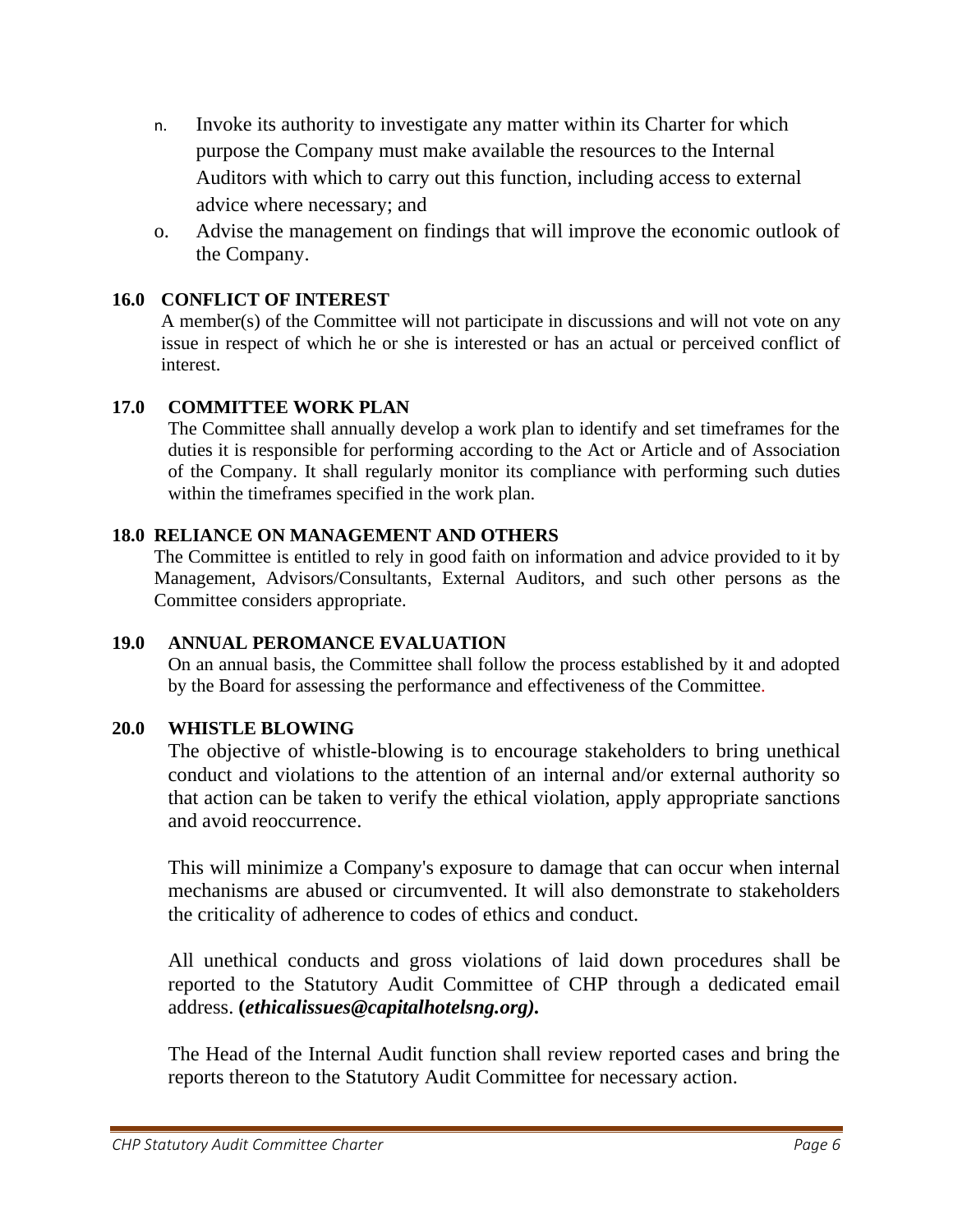- n. Invoke its authority to investigate any matter within its Charter for which purpose the Company must make available the resources to the Internal Auditors with which to carry out this function, including access to external advice where necessary; and
- o. Advise the management on findings that will improve the economic outlook of the Company.

## **16.0 CONFLICT OF INTEREST**

A member(s) of the Committee will not participate in discussions and will not vote on any issue in respect of which he or she is interested or has an actual or perceived conflict of interest.

## **17.0 COMMITTEE WORK PLAN**

The Committee shall annually develop a work plan to identify and set timeframes for the duties it is responsible for performing according to the Act or Article and of Association of the Company. It shall regularly monitor its compliance with performing such duties within the timeframes specified in the work plan.

## **18.0 RELIANCE ON MANAGEMENT AND OTHERS**

The Committee is entitled to rely in good faith on information and advice provided to it by Management, Advisors/Consultants, External Auditors, and such other persons as the Committee considers appropriate.

## **19.0 ANNUAL PEROMANCE EVALUATION**

On an annual basis, the Committee shall follow the process established by it and adopted by the Board for assessing the performance and effectiveness of the Committee.

## **20.0 WHISTLE BLOWING**

The objective of whistle-blowing is to encourage stakeholders to bring unethical conduct and violations to the attention of an internal and/or external authority so that action can be taken to verify the ethical violation, apply appropriate sanctions and avoid reoccurrence.

This will minimize a Company's exposure to damage that can occur when internal mechanisms are abused or circumvented. It will also demonstrate to stakeholders the criticality of adherence to codes of ethics and conduct.

All unethical conducts and gross violations of laid down procedures shall be reported to the Statutory Audit Committee of CHP through a dedicated email address. **(***ethicalissues@capitalhotelsng.org).*

The Head of the Internal Audit function shall review reported cases and bring the reports thereon to the Statutory Audit Committee for necessary action.